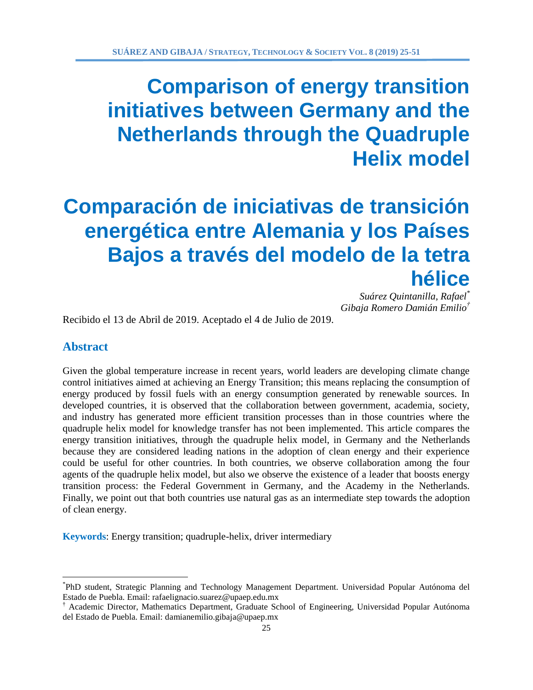# **Comparación de iniciativas de transición energética entre Alemania y los Países Bajos a través del modelo de la tetra hélice**

*Suárez Quintanilla, Rafael\* Gibaja Romero Damián Emilio†*

Recibido el 13 de Abril de 2019. Aceptado el 4 de Julio de 2019.

# **Abstract**

 $\overline{a}$ 

Given the global temperature increase in recent years, world leaders are developing climate change control initiatives aimed at achieving an Energy Transition; this means replacing the consumption of energy produced by fossil fuels with an energy consumption generated by renewable sources. In developed countries, it is observed that the collaboration between government, academia, society, and industry has generated more efficient transition processes than in those countries where the quadruple helix model for knowledge transfer has not been implemented. This article compares the energy transition initiatives, through the quadruple helix model, in Germany and the Netherlands because they are considered leading nations in the adoption of clean energy and their experience could be useful for other countries. In both countries, we observe collaboration among the four agents of the quadruple helix model, but also we observe the existence of a leader that boosts energy transition process: the Federal Government in Germany, and the Academy in the Netherlands. Finally, we point out that both countries use natural gas as an intermediate step towards the adoption of clean energy.

**Keywords**: Energy transition; quadruple-helix, driver intermediary

<sup>\*</sup> PhD student, Strategic Planning and Technology Management Department. Universidad Popular Autónoma del Estado de Puebla. Email: rafaelignacio.suarez@upaep.edu.mx

<sup>†</sup> Academic Director, Mathematics Department, Graduate School of Engineering, Universidad Popular Autónoma del Estado de Puebla. Email: damianemilio.gibaja@upaep.mx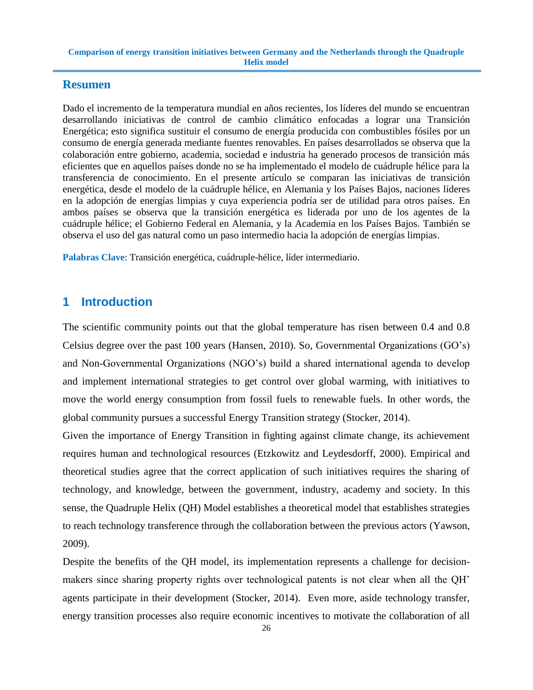# **Resumen**

Dado el incremento de la temperatura mundial en años recientes, los líderes del mundo se encuentran desarrollando iniciativas de control de cambio climático enfocadas a lograr una Transición Energética; esto significa sustituir el consumo de energía producida con combustibles fósiles por un consumo de energía generada mediante fuentes renovables. En países desarrollados se observa que la colaboración entre gobierno, academia, sociedad e industria ha generado procesos de transición más eficientes que en aquellos países donde no se ha implementado el modelo de cuádruple hélice para la transferencia de conocimiento. En el presente artículo se comparan las iniciativas de transición energética, desde el modelo de la cuádruple hélice, en Alemania y los Países Bajos, naciones líderes en la adopción de energías limpias y cuya experiencia podría ser de utilidad para otros países. En ambos países se observa que la transición energética es liderada por uno de los agentes de la cuádruple hélice; el Gobierno Federal en Alemania, y la Academia en los Países Bajos. También se observa el uso del gas natural como un paso intermedio hacia la adopción de energías limpias.

**Palabras Clave**: Transición energética, cuádruple-hélice, líder intermediario.

# **1 Introduction**

The scientific community points out that the global temperature has risen between 0.4 and 0.8 Celsius degree over the past 100 years (Hansen, 2010). So, Governmental Organizations (GO's) and Non-Governmental Organizations (NGO's) build a shared international agenda to develop and implement international strategies to get control over global warming, with initiatives to move the world energy consumption from fossil fuels to renewable fuels. In other words, the global community pursues a successful Energy Transition strategy (Stocker, 2014).

Given the importance of Energy Transition in fighting against climate change, its achievement requires human and technological resources (Etzkowitz and Leydesdorff, 2000). Empirical and theoretical studies agree that the correct application of such initiatives requires the sharing of technology, and knowledge, between the government, industry, academy and society. In this sense, the Quadruple Helix (QH) Model establishes a theoretical model that establishes strategies to reach technology transference through the collaboration between the previous actors (Yawson, 2009).

Despite the benefits of the QH model, its implementation represents a challenge for decisionmakers since sharing property rights over technological patents is not clear when all the QH' agents participate in their development (Stocker, 2014). Even more, aside technology transfer, energy transition processes also require economic incentives to motivate the collaboration of all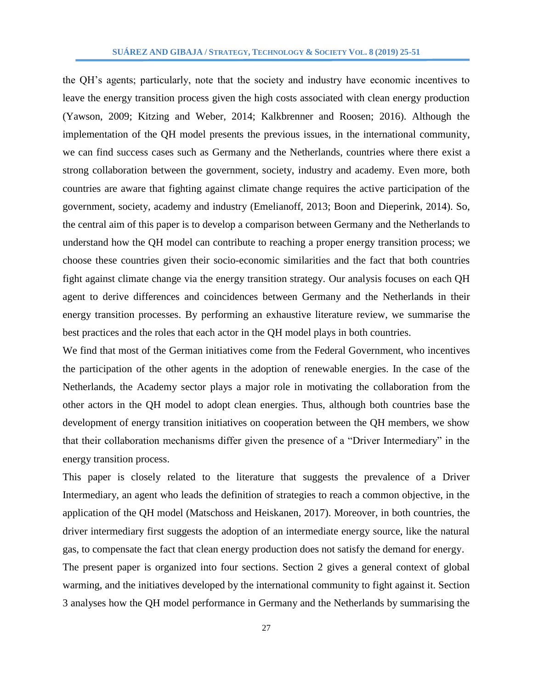the QH's agents; particularly, note that the society and industry have economic incentives to leave the energy transition process given the high costs associated with clean energy production (Yawson, 2009; Kitzing and Weber, 2014; Kalkbrenner and Roosen; 2016). Although the implementation of the QH model presents the previous issues, in the international community, we can find success cases such as Germany and the Netherlands, countries where there exist a strong collaboration between the government, society, industry and academy. Even more, both countries are aware that fighting against climate change requires the active participation of the government, society, academy and industry (Emelianoff, 2013; Boon and Dieperink, 2014). So, the central aim of this paper is to develop a comparison between Germany and the Netherlands to understand how the QH model can contribute to reaching a proper energy transition process; we choose these countries given their socio-economic similarities and the fact that both countries fight against climate change via the energy transition strategy. Our analysis focuses on each QH agent to derive differences and coincidences between Germany and the Netherlands in their energy transition processes. By performing an exhaustive literature review, we summarise the best practices and the roles that each actor in the QH model plays in both countries.

We find that most of the German initiatives come from the Federal Government, who incentives the participation of the other agents in the adoption of renewable energies. In the case of the Netherlands, the Academy sector plays a major role in motivating the collaboration from the other actors in the QH model to adopt clean energies. Thus, although both countries base the development of energy transition initiatives on cooperation between the QH members, we show that their collaboration mechanisms differ given the presence of a "Driver Intermediary" in the energy transition process.

This paper is closely related to the literature that suggests the prevalence of a Driver Intermediary, an agent who leads the definition of strategies to reach a common objective, in the application of the QH model (Matschoss and Heiskanen, 2017). Moreover, in both countries, the driver intermediary first suggests the adoption of an intermediate energy source, like the natural gas, to compensate the fact that clean energy production does not satisfy the demand for energy.

The present paper is organized into four sections. Section 2 gives a general context of global warming, and the initiatives developed by the international community to fight against it. Section 3 analyses how the QH model performance in Germany and the Netherlands by summarising the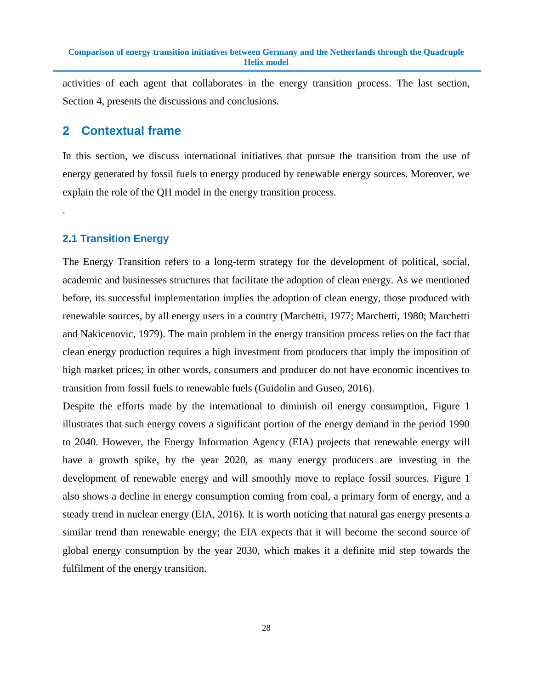activities of each agent that collaborates in the energy transition process. The last section, Section 4, presents the discussions and conclusions.

# **2 Contextual frame**

In this section, we discuss international initiatives that pursue the transition from the use of energy generated by fossil fuels to energy produced by renewable energy sources. Moreover, we explain the role of the QH model in the energy transition process.

### **2.1 Transition Energy**

.

The Energy Transition refers to a long-term strategy for the development of political, social, academic and businesses structures that facilitate the adoption of clean energy. As we mentioned before, its successful implementation implies the adoption of clean energy, those produced with renewable sources, by all energy users in a country (Marchetti, 1977; Marchetti, 1980; Marchetti and Nakicenovic, 1979). The main problem in the energy transition process relies on the fact that clean energy production requires a high investment from producers that imply the imposition of high market prices; in other words, consumers and producer do not have economic incentives to transition from fossil fuels to renewable fuels (Guidolin and Guseo, 2016).

Despite the efforts made by the international to diminish oil energy consumption, Figure 1 illustrates that such energy covers a significant portion of the energy demand in the period 1990 to 2040. However, the Energy Information Agency (EIA) projects that renewable energy will have a growth spike, by the year 2020, as many energy producers are investing in the development of renewable energy and will smoothly move to replace fossil sources. Figure 1 also shows a decline in energy consumption coming from coal, a primary form of energy, and a steady trend in nuclear energy (EIA, 2016). It is worth noticing that natural gas energy presents a similar trend than renewable energy; the EIA expects that it will become the second source of global energy consumption by the year 2030, which makes it a definite mid step towards the fulfilment of the energy transition.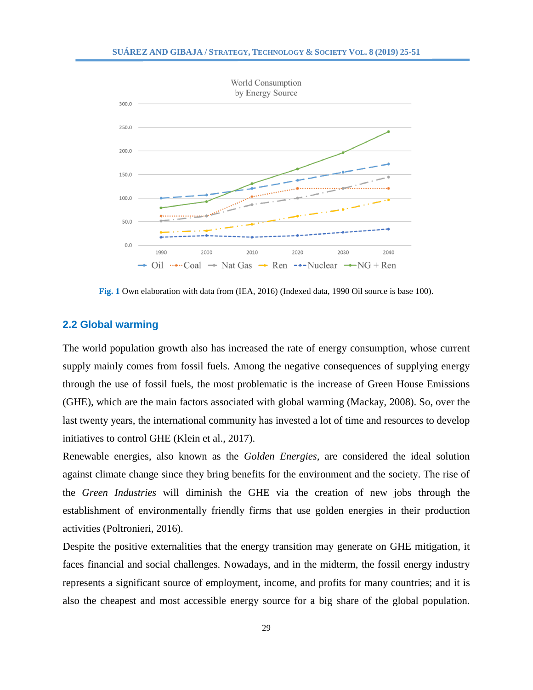

**Fig. 1** Own elaboration with data from (IEA, 2016) (Indexed data, 1990 Oil source is base 100).

#### **2.2 Global warming**

The world population growth also has increased the rate of energy consumption, whose current supply mainly comes from fossil fuels. Among the negative consequences of supplying energy through the use of fossil fuels, the most problematic is the increase of Green House Emissions (GHE), which are the main factors associated with global warming (Mackay, 2008). So, over the last twenty years, the international community has invested a lot of time and resources to develop initiatives to control GHE (Klein et al., 2017).

Renewable energies, also known as the *Golden Energies,* are considered the ideal solution against climate change since they bring benefits for the environment and the society. The rise of the *Green Industries* will diminish the GHE via the creation of new jobs through the establishment of environmentally friendly firms that use golden energies in their production activities (Poltronieri, 2016).

Despite the positive externalities that the energy transition may generate on GHE mitigation, it faces financial and social challenges. Nowadays, and in the midterm, the fossil energy industry represents a significant source of employment, income, and profits for many countries; and it is also the cheapest and most accessible energy source for a big share of the global population.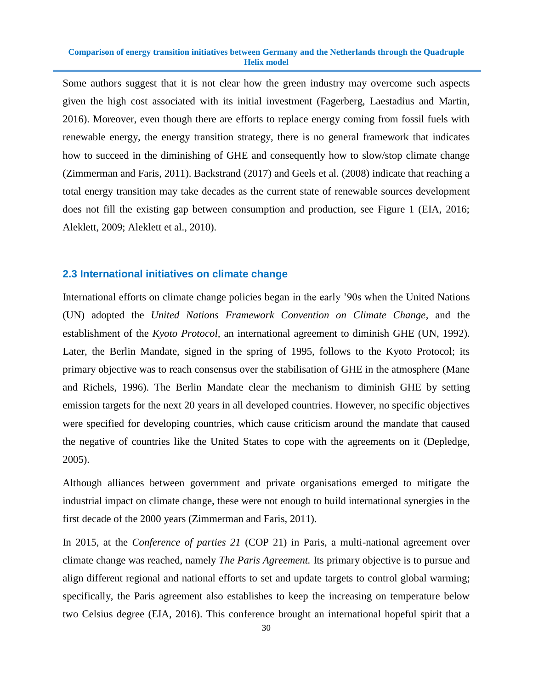Some authors suggest that it is not clear how the green industry may overcome such aspects given the high cost associated with its initial investment (Fagerberg, Laestadius and Martin, 2016). Moreover, even though there are efforts to replace energy coming from fossil fuels with renewable energy, the energy transition strategy, there is no general framework that indicates how to succeed in the diminishing of GHE and consequently how to slow/stop climate change (Zimmerman and Faris, 2011). Backstrand (2017) and Geels et al. (2008) indicate that reaching a total energy transition may take decades as the current state of renewable sources development does not fill the existing gap between consumption and production, see Figure 1 (EIA, 2016; Aleklett, 2009; Aleklett et al., 2010).

#### **2.3 International initiatives on climate change**

International efforts on climate change policies began in the early '90s when the United Nations (UN) adopted the *United Nations Framework Convention on Climate Change*, and the establishment of the *Kyoto Protocol,* an international agreement to diminish GHE (UN, 1992)*.* Later, the Berlin Mandate, signed in the spring of 1995, follows to the Kyoto Protocol; its primary objective was to reach consensus over the stabilisation of GHE in the atmosphere (Mane and Richels, 1996). The Berlin Mandate clear the mechanism to diminish GHE by setting emission targets for the next 20 years in all developed countries. However, no specific objectives were specified for developing countries, which cause criticism around the mandate that caused the negative of countries like the United States to cope with the agreements on it (Depledge, 2005).

Although alliances between government and private organisations emerged to mitigate the industrial impact on climate change, these were not enough to build international synergies in the first decade of the 2000 years (Zimmerman and Faris, 2011).

In 2015, at the *Conference of parties 21* (COP 21) in Paris, a multi-national agreement over climate change was reached, namely *The Paris Agreement.* Its primary objective is to pursue and align different regional and national efforts to set and update targets to control global warming; specifically, the Paris agreement also establishes to keep the increasing on temperature below two Celsius degree (EIA, 2016). This conference brought an international hopeful spirit that a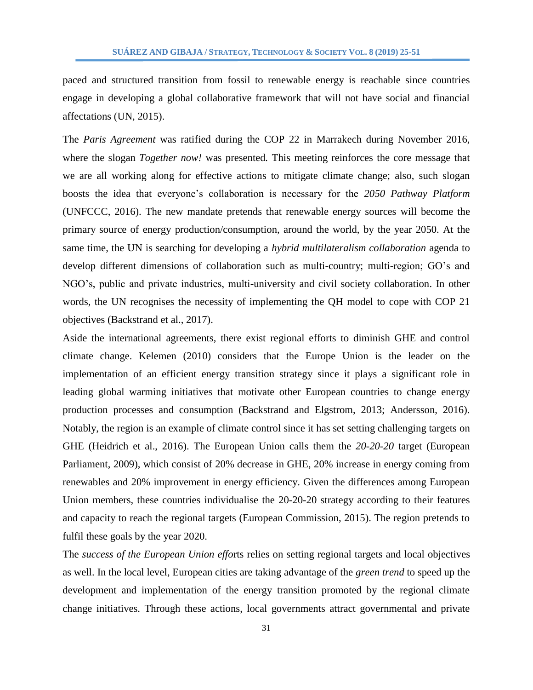paced and structured transition from fossil to renewable energy is reachable since countries engage in developing a global collaborative framework that will not have social and financial affectations (UN, 2015).

The *Paris Agreement* was ratified during the COP 22 in Marrakech during November 2016, where the slogan *Together now!* was presented*.* This meeting reinforces the core message that we are all working along for effective actions to mitigate climate change; also, such slogan boosts the idea that everyone's collaboration is necessary for the *2050 Pathway Platform* (UNFCCC, 2016). The new mandate pretends that renewable energy sources will become the primary source of energy production/consumption, around the world, by the year 2050. At the same time, the UN is searching for developing a *hybrid multilateralism collaboration* agenda to develop different dimensions of collaboration such as multi-country; multi-region; GO's and NGO's, public and private industries, multi-university and civil society collaboration. In other words, the UN recognises the necessity of implementing the QH model to cope with COP 21 objectives (Backstrand et al., 2017).

Aside the international agreements, there exist regional efforts to diminish GHE and control climate change. Kelemen (2010) considers that the Europe Union is the leader on the implementation of an efficient energy transition strategy since it plays a significant role in leading global warming initiatives that motivate other European countries to change energy production processes and consumption (Backstrand and Elgstrom, 2013; Andersson, 2016). Notably, the region is an example of climate control since it has set setting challenging targets on GHE (Heidrich et al., 2016). The European Union calls them the *20-20-20* target (European Parliament, 2009), which consist of 20% decrease in GHE, 20% increase in energy coming from renewables and 20% improvement in energy efficiency. Given the differences among European Union members, these countries individualise the 20-20-20 strategy according to their features and capacity to reach the regional targets (European Commission, 2015). The region pretends to fulfil these goals by the year 2020.

The *success of the European Union effo*rts relies on setting regional targets and local objectives as well. In the local level, European cities are taking advantage of the *green trend* to speed up the development and implementation of the energy transition promoted by the regional climate change initiatives. Through these actions, local governments attract governmental and private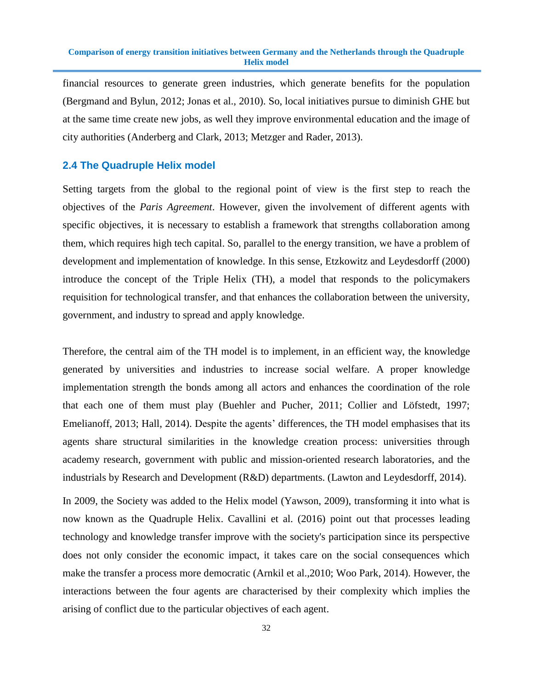financial resources to generate green industries, which generate benefits for the population (Bergmand and Bylun, 2012; Jonas et al., 2010). So, local initiatives pursue to diminish GHE but at the same time create new jobs, as well they improve environmental education and the image of city authorities (Anderberg and Clark, 2013; Metzger and Rader, 2013).

#### **2.4 The Quadruple Helix model**

Setting targets from the global to the regional point of view is the first step to reach the objectives of the *Paris Agreement*. However, given the involvement of different agents with specific objectives, it is necessary to establish a framework that strengths collaboration among them, which requires high tech capital. So, parallel to the energy transition, we have a problem of development and implementation of knowledge. In this sense, Etzkowitz and Leydesdorff (2000) introduce the concept of the Triple Helix (TH), a model that responds to the policymakers requisition for technological transfer, and that enhances the collaboration between the university, government, and industry to spread and apply knowledge.

Therefore, the central aim of the TH model is to implement, in an efficient way, the knowledge generated by universities and industries to increase social welfare. A proper knowledge implementation strength the bonds among all actors and enhances the coordination of the role that each one of them must play (Buehler and Pucher, 2011; Collier and Löfstedt, 1997; Emelianoff, 2013; Hall, 2014). Despite the agents' differences, the TH model emphasises that its agents share structural similarities in the knowledge creation process: universities through academy research, government with public and mission-oriented research laboratories, and the industrials by Research and Development (R&D) departments. (Lawton and Leydesdorff, 2014).

In 2009, the Society was added to the Helix model (Yawson, 2009), transforming it into what is now known as the Quadruple Helix. Cavallini et al. (2016) point out that processes leading technology and knowledge transfer improve with the society's participation since its perspective does not only consider the economic impact, it takes care on the social consequences which make the transfer a process more democratic (Arnkil et al.,2010; Woo Park, 2014). However, the interactions between the four agents are characterised by their complexity which implies the arising of conflict due to the particular objectives of each agent.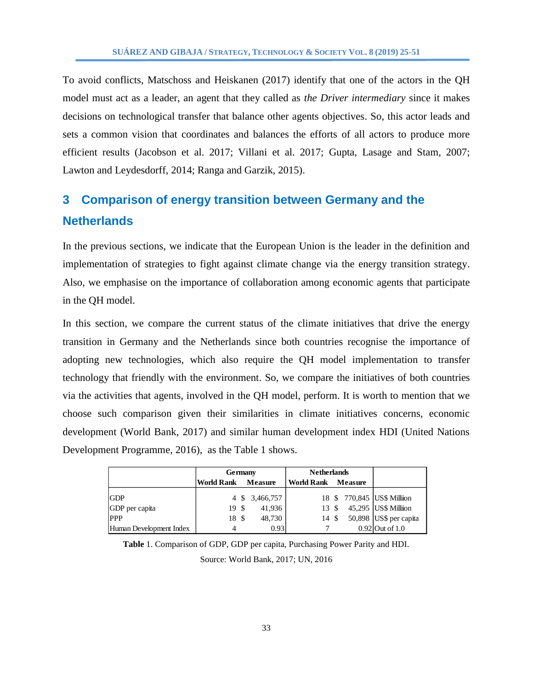To avoid conflicts, Matschoss and Heiskanen (2017) identify that one of the actors in the QH model must act as a leader, an agent that they called as *the Driver intermediary* since it makes decisions on technological transfer that balance other agents objectives. So, this actor leads and sets a common vision that coordinates and balances the efforts of all actors to produce more efficient results (Jacobson et al. 2017; Villani et al. 2017; Gupta, Lasage and Stam, 2007; Lawton and Leydesdorff, 2014; Ranga and Garzik, 2015).

# **3 Comparison of energy transition between Germany and the Netherlands**

In the previous sections, we indicate that the European Union is the leader in the definition and implementation of strategies to fight against climate change via the energy transition strategy. Also, we emphasise on the importance of collaboration among economic agents that participate in the QH model.

In this section, we compare the current status of the climate initiatives that drive the energy transition in Germany and the Netherlands since both countries recognise the importance of adopting new technologies, which also require the QH model implementation to transfer technology that friendly with the environment. So, we compare the initiatives of both countries via the activities that agents, involved in the QH model, perform. It is worth to mention that we choose such comparison given their similarities in climate initiatives concerns, economic development (World Bank, 2017) and similar human development index HDI (United Nations Development Programme, 2016), as the Table 1 shows.

|                         | Germany           |  | <b>Netherlands</b> |                    |  |  |                             |
|-------------------------|-------------------|--|--------------------|--------------------|--|--|-----------------------------|
|                         | <b>World Rank</b> |  | <b>Measure</b>     | World Rank Measure |  |  |                             |
| <b>GDP</b>              |                   |  | 4 \$ 3,466,757     |                    |  |  | 18 \$ 770,845 US\$ Milliion |
| GDP per capita          | 19 S              |  | 41,936             | 13S                |  |  | 45,295 US\$ Milliion        |
| <b>PPP</b>              | 18 \$             |  | 48,730             | 14 \$              |  |  | 50,898 US\$ per capita      |
| Human Development Index | 4                 |  | 0.93               |                    |  |  | $0.92$ Out of 1.0           |

**Table** 1. Comparison of GDP, GDP per capita, Purchasing Power Parity and HDI. Source: World Bank, 2017; UN, 2016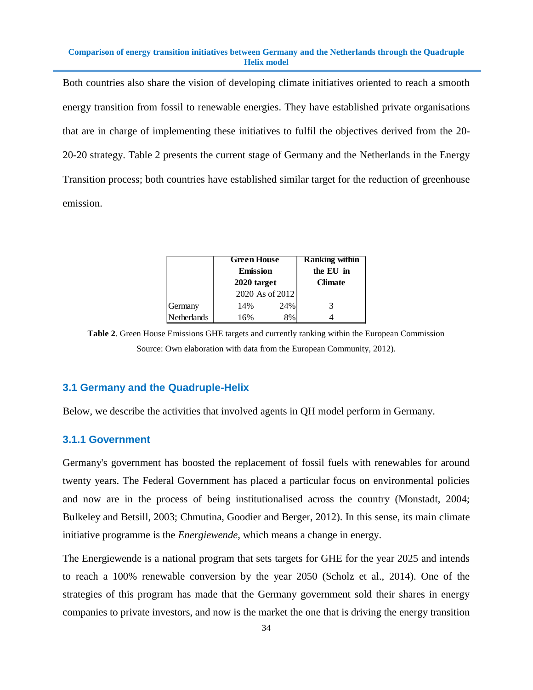Both countries also share the vision of developing climate initiatives oriented to reach a smooth energy transition from fossil to renewable energies. They have established private organisations that are in charge of implementing these initiatives to fulfil the objectives derived from the 20- 20-20 strategy. Table 2 presents the current stage of Germany and the Netherlands in the Energy Transition process; both countries have established similar target for the reduction of greenhouse emission.

|                    | <b>Green House</b> |                | Ranking within |
|--------------------|--------------------|----------------|----------------|
|                    | <b>Emission</b>    | the EU in      |                |
|                    | 2020 target        | <b>Climate</b> |                |
|                    | 2020 As of 2012    |                |                |
| Germany            | 14%                | 24%            | 3              |
| <b>Netherlands</b> | 16%                | 8%             |                |

**Table 2**. Green House Emissions GHE targets and currently ranking within the European Commission Source: Own elaboration with data from the European Community, 2012).

### **3.1 Germany and the Quadruple-Helix**

Below, we describe the activities that involved agents in QH model perform in Germany.

#### **3.1.1 Government**

Germany's government has boosted the replacement of fossil fuels with renewables for around twenty years. The Federal Government has placed a particular focus on environmental policies and now are in the process of being institutionalised across the country (Monstadt, 2004; Bulkeley and Betsill, 2003; Chmutina, Goodier and Berger, 2012). In this sense, its main climate initiative programme is the *Energiewende,* which means a change in energy.

The Energiewende is a national program that sets targets for GHE for the year 2025 and intends to reach a 100% renewable conversion by the year 2050 (Scholz et al., 2014). One of the strategies of this program has made that the Germany government sold their shares in energy companies to private investors, and now is the market the one that is driving the energy transition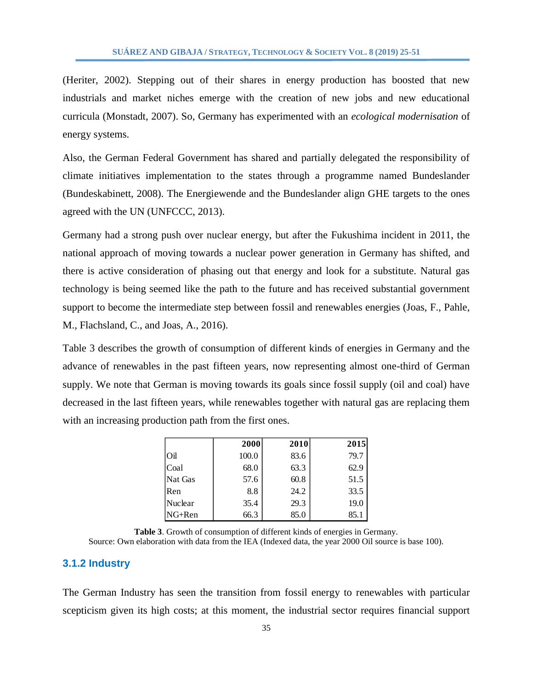(Heriter, 2002). Stepping out of their shares in energy production has boosted that new industrials and market niches emerge with the creation of new jobs and new educational curricula (Monstadt, 2007). So, Germany has experimented with an *ecological modernisation* of energy systems.

Also, the German Federal Government has shared and partially delegated the responsibility of climate initiatives implementation to the states through a programme named Bundeslander (Bundeskabinett, 2008). The Energiewende and the Bundeslander align GHE targets to the ones agreed with the UN (UNFCCC, 2013).

Germany had a strong push over nuclear energy, but after the Fukushima incident in 2011, the national approach of moving towards a nuclear power generation in Germany has shifted, and there is active consideration of phasing out that energy and look for a substitute. Natural gas technology is being seemed like the path to the future and has received substantial government support to become the intermediate step between fossil and renewables energies (Joas, F., Pahle, M., Flachsland, C., and Joas, A., 2016).

Table 3 describes the growth of consumption of different kinds of energies in Germany and the advance of renewables in the past fifteen years, now representing almost one-third of German supply. We note that German is moving towards its goals since fossil supply (oil and coal) have decreased in the last fifteen years, while renewables together with natural gas are replacing them with an increasing production path from the first ones.

|         | 2000  | 2010 | 2015 |
|---------|-------|------|------|
| Oil     | 100.0 | 83.6 | 79.7 |
| Coal    | 68.0  | 63.3 | 62.9 |
| Nat Gas | 57.6  | 60.8 | 51.5 |
| Ren     | 8.8   | 24.2 | 33.5 |
| Nuclear | 35.4  | 29.3 | 19.0 |
| NG+Ren  | 66.3  | 85.0 | 85.1 |

**Table 3**. Growth of consumption of different kinds of energies in Germany. Source: Own elaboration with data from the IEA (Indexed data, the year 2000 Oil source is base 100).

#### **3.1.2 Industry**

The German Industry has seen the transition from fossil energy to renewables with particular scepticism given its high costs; at this moment, the industrial sector requires financial support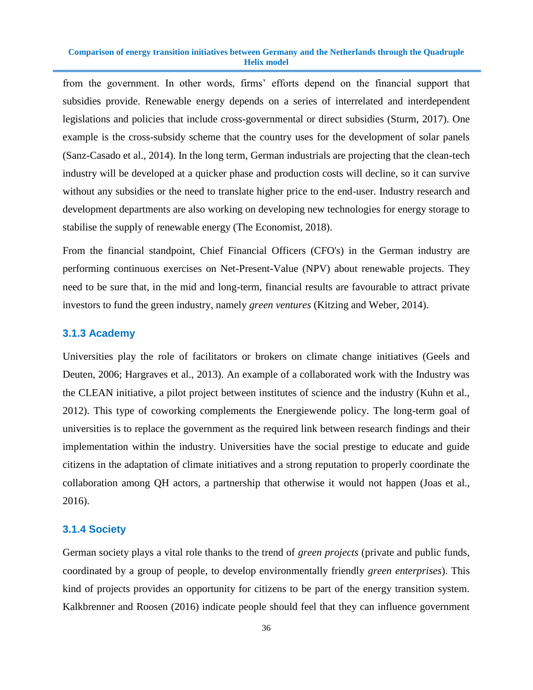from the government. In other words, firms' efforts depend on the financial support that subsidies provide. Renewable energy depends on a series of interrelated and interdependent legislations and policies that include cross-governmental or direct subsidies (Sturm, 2017). One example is the cross-subsidy scheme that the country uses for the development of solar panels (Sanz-Casado et al., 2014). In the long term, German industrials are projecting that the clean-tech industry will be developed at a quicker phase and production costs will decline, so it can survive without any subsidies or the need to translate higher price to the end-user. Industry research and development departments are also working on developing new technologies for energy storage to stabilise the supply of renewable energy (The Economist, 2018).

From the financial standpoint, Chief Financial Officers (CFO's) in the German industry are performing continuous exercises on Net-Present-Value (NPV) about renewable projects. They need to be sure that, in the mid and long-term, financial results are favourable to attract private investors to fund the green industry, namely *green ventures* (Kitzing and Weber, 2014).

#### **3.1.3 Academy**

Universities play the role of facilitators or brokers on climate change initiatives (Geels and Deuten, 2006; Hargraves et al., 2013). An example of a collaborated work with the Industry was the CLEAN initiative, a pilot project between institutes of science and the industry (Kuhn et al., 2012). This type of coworking complements the Energiewende policy. The long-term goal of universities is to replace the government as the required link between research findings and their implementation within the industry. Universities have the social prestige to educate and guide citizens in the adaptation of climate initiatives and a strong reputation to properly coordinate the collaboration among QH actors, a partnership that otherwise it would not happen (Joas et al., 2016).

#### **3.1.4 Society**

German society plays a vital role thanks to the trend of *green projects* (private and public funds, coordinated by a group of people, to develop environmentally friendly *green enterprises*). This kind of projects provides an opportunity for citizens to be part of the energy transition system. Kalkbrenner and Roosen (2016) indicate people should feel that they can influence government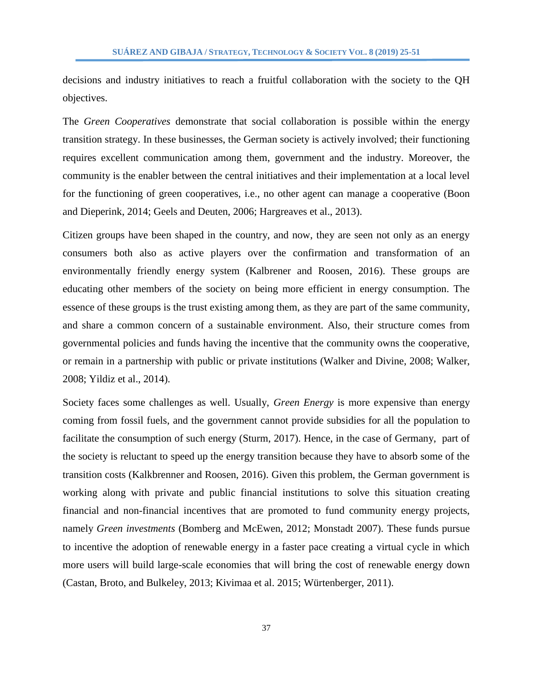decisions and industry initiatives to reach a fruitful collaboration with the society to the QH objectives.

The *Green Cooperatives* demonstrate that social collaboration is possible within the energy transition strategy. In these businesses, the German society is actively involved; their functioning requires excellent communication among them, government and the industry. Moreover, the community is the enabler between the central initiatives and their implementation at a local level for the functioning of green cooperatives, i.e., no other agent can manage a cooperative (Boon and Dieperink, 2014; Geels and Deuten, 2006; Hargreaves et al., 2013).

Citizen groups have been shaped in the country, and now, they are seen not only as an energy consumers both also as active players over the confirmation and transformation of an environmentally friendly energy system (Kalbrener and Roosen, 2016). These groups are educating other members of the society on being more efficient in energy consumption. The essence of these groups is the trust existing among them, as they are part of the same community, and share a common concern of a sustainable environment. Also, their structure comes from governmental policies and funds having the incentive that the community owns the cooperative, or remain in a partnership with public or private institutions (Walker and Divine, 2008; Walker, 2008; Yildiz et al., 2014).

Society faces some challenges as well. Usually, *Green Energy* is more expensive than energy coming from fossil fuels, and the government cannot provide subsidies for all the population to facilitate the consumption of such energy (Sturm, 2017). Hence, in the case of Germany, part of the society is reluctant to speed up the energy transition because they have to absorb some of the transition costs (Kalkbrenner and Roosen, 2016). Given this problem, the German government is working along with private and public financial institutions to solve this situation creating financial and non-financial incentives that are promoted to fund community energy projects, namely *Green investments* (Bomberg and McEwen, 2012; Monstadt 2007). These funds pursue to incentive the adoption of renewable energy in a faster pace creating a virtual cycle in which more users will build large-scale economies that will bring the cost of renewable energy down (Castan, Broto, and Bulkeley, 2013; Kivimaa et al. 2015; Würtenberger, 2011).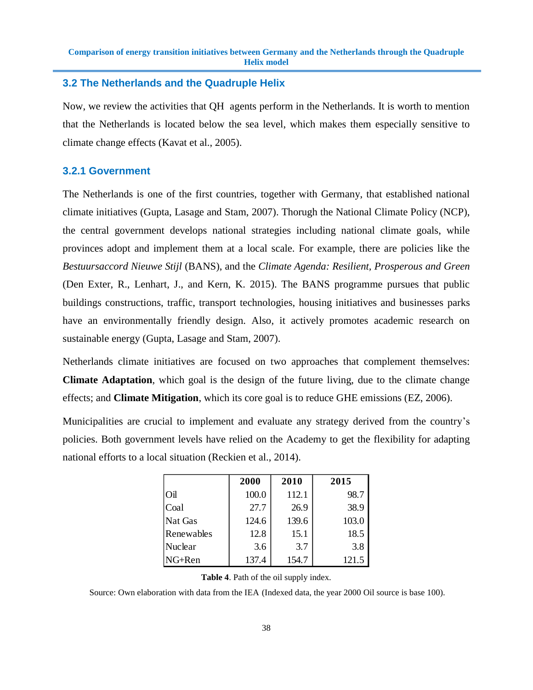#### **3.2 The Netherlands and the Quadruple Helix**

Now, we review the activities that QH agents perform in the Netherlands. It is worth to mention that the Netherlands is located below the sea level, which makes them especially sensitive to climate change effects (Kavat et al., 2005).

#### **3.2.1 Government**

The Netherlands is one of the first countries, together with Germany, that established national climate initiatives (Gupta, Lasage and Stam, 2007). Thorugh the National Climate Policy (NCP), the central government develops national strategies including national climate goals, while provinces adopt and implement them at a local scale. For example, there are policies like the *Bestuursaccord Nieuwe Stijl* (BANS), and the *Climate Agenda: Resilient, Prosperous and Green* (Den Exter, R., Lenhart, J., and Kern, K. 2015). The BANS programme pursues that public buildings constructions, traffic, transport technologies, housing initiatives and businesses parks have an environmentally friendly design. Also, it actively promotes academic research on sustainable energy (Gupta, Lasage and Stam, 2007).

Netherlands climate initiatives are focused on two approaches that complement themselves: **Climate Adaptation**, which goal is the design of the future living, due to the climate change effects; and **Climate Mitigation**, which its core goal is to reduce GHE emissions (EZ, 2006).

Municipalities are crucial to implement and evaluate any strategy derived from the country's policies. Both government levels have relied on the Academy to get the flexibility for adapting national efforts to a local situation (Reckien et al., 2014).

|            | 2000  | 2010  | 2015  |
|------------|-------|-------|-------|
| Oil        | 100.0 | 112.1 | 98.7  |
| Coal       | 27.7  | 26.9  | 38.9  |
| Nat Gas    | 124.6 | 139.6 | 103.0 |
| Renewables | 12.8  | 15.1  | 18.5  |
| Nuclear    | 3.6   | 3.7   | 3.8   |
| NG+Ren     | 137.4 | 154.7 | 121.5 |

**Table 4**. Path of the oil supply index.

Source: Own elaboration with data from the IEA (Indexed data, the year 2000 Oil source is base 100).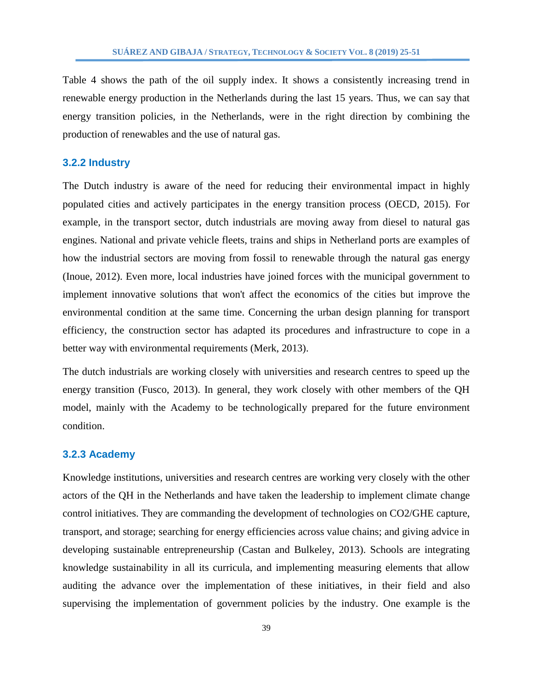Table 4 shows the path of the oil supply index. It shows a consistently increasing trend in renewable energy production in the Netherlands during the last 15 years. Thus, we can say that energy transition policies, in the Netherlands, were in the right direction by combining the production of renewables and the use of natural gas.

#### **3.2.2 Industry**

The Dutch industry is aware of the need for reducing their environmental impact in highly populated cities and actively participates in the energy transition process (OECD, 2015). For example, in the transport sector, dutch industrials are moving away from diesel to natural gas engines. National and private vehicle fleets, trains and ships in Netherland ports are examples of how the industrial sectors are moving from fossil to renewable through the natural gas energy (Inoue, 2012). Even more, local industries have joined forces with the municipal government to implement innovative solutions that won't affect the economics of the cities but improve the environmental condition at the same time. Concerning the urban design planning for transport efficiency, the construction sector has adapted its procedures and infrastructure to cope in a better way with environmental requirements (Merk, 2013).

The dutch industrials are working closely with universities and research centres to speed up the energy transition (Fusco, 2013). In general, they work closely with other members of the QH model, mainly with the Academy to be technologically prepared for the future environment condition.

#### **3.2.3 Academy**

Knowledge institutions, universities and research centres are working very closely with the other actors of the QH in the Netherlands and have taken the leadership to implement climate change control initiatives. They are commanding the development of technologies on CO2/GHE capture, transport, and storage; searching for energy efficiencies across value chains; and giving advice in developing sustainable entrepreneurship (Castan and Bulkeley, 2013). Schools are integrating knowledge sustainability in all its curricula, and implementing measuring elements that allow auditing the advance over the implementation of these initiatives, in their field and also supervising the implementation of government policies by the industry. One example is the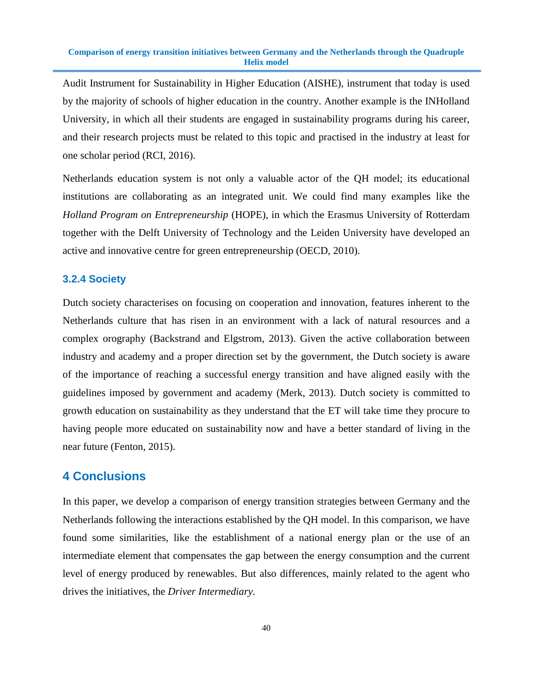Audit Instrument for Sustainability in Higher Education (AISHE), instrument that today is used by the majority of schools of higher education in the country. Another example is the INHolland University, in which all their students are engaged in sustainability programs during his career, and their research projects must be related to this topic and practised in the industry at least for one scholar period (RCI, 2016).

Netherlands education system is not only a valuable actor of the QH model; its educational institutions are collaborating as an integrated unit. We could find many examples like the *Holland Program on Entrepreneurship* (HOPE), in which the Erasmus University of Rotterdam together with the Delft University of Technology and the Leiden University have developed an active and innovative centre for green entrepreneurship (OECD, 2010).

#### **3.2.4 Society**

Dutch society characterises on focusing on cooperation and innovation, features inherent to the Netherlands culture that has risen in an environment with a lack of natural resources and a complex orography (Backstrand and Elgstrom, 2013). Given the active collaboration between industry and academy and a proper direction set by the government, the Dutch society is aware of the importance of reaching a successful energy transition and have aligned easily with the guidelines imposed by government and academy (Merk, 2013). Dutch society is committed to growth education on sustainability as they understand that the ET will take time they procure to having people more educated on sustainability now and have a better standard of living in the near future (Fenton, 2015).

# **4 Conclusions**

In this paper, we develop a comparison of energy transition strategies between Germany and the Netherlands following the interactions established by the QH model. In this comparison, we have found some similarities, like the establishment of a national energy plan or the use of an intermediate element that compensates the gap between the energy consumption and the current level of energy produced by renewables. But also differences, mainly related to the agent who drives the initiatives, the *Driver Intermediary.*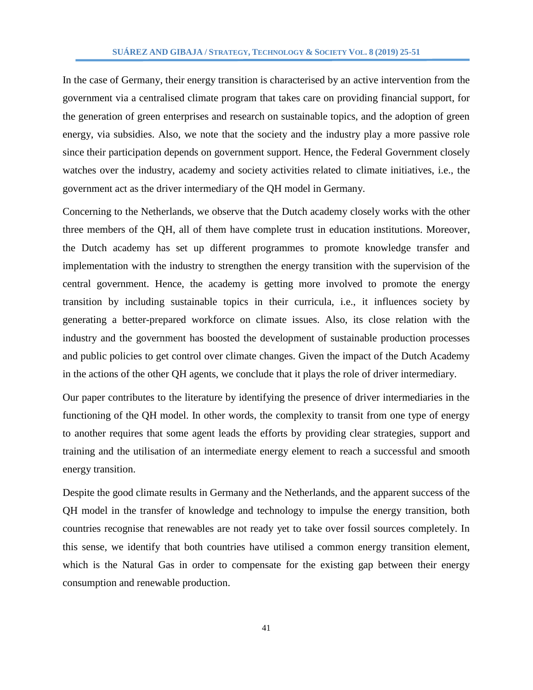In the case of Germany, their energy transition is characterised by an active intervention from the government via a centralised climate program that takes care on providing financial support, for the generation of green enterprises and research on sustainable topics, and the adoption of green energy, via subsidies. Also, we note that the society and the industry play a more passive role since their participation depends on government support. Hence, the Federal Government closely watches over the industry, academy and society activities related to climate initiatives, i.e., the government act as the driver intermediary of the QH model in Germany.

Concerning to the Netherlands, we observe that the Dutch academy closely works with the other three members of the QH, all of them have complete trust in education institutions. Moreover, the Dutch academy has set up different programmes to promote knowledge transfer and implementation with the industry to strengthen the energy transition with the supervision of the central government. Hence, the academy is getting more involved to promote the energy transition by including sustainable topics in their curricula, i.e., it influences society by generating a better-prepared workforce on climate issues. Also, its close relation with the industry and the government has boosted the development of sustainable production processes and public policies to get control over climate changes. Given the impact of the Dutch Academy in the actions of the other QH agents, we conclude that it plays the role of driver intermediary.

Our paper contributes to the literature by identifying the presence of driver intermediaries in the functioning of the QH model. In other words, the complexity to transit from one type of energy to another requires that some agent leads the efforts by providing clear strategies, support and training and the utilisation of an intermediate energy element to reach a successful and smooth energy transition.

Despite the good climate results in Germany and the Netherlands, and the apparent success of the QH model in the transfer of knowledge and technology to impulse the energy transition, both countries recognise that renewables are not ready yet to take over fossil sources completely. In this sense, we identify that both countries have utilised a common energy transition element, which is the Natural Gas in order to compensate for the existing gap between their energy consumption and renewable production.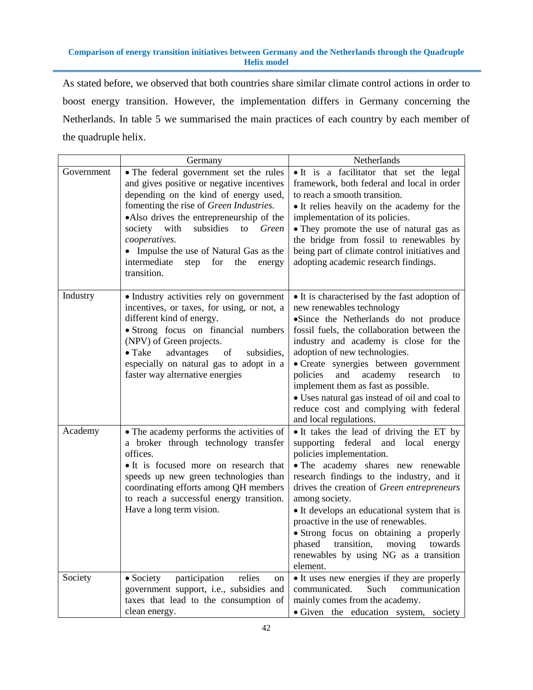As stated before, we observed that both countries share similar climate control actions in order to boost energy transition. However, the implementation differs in Germany concerning the Netherlands. In table 5 we summarised the main practices of each country by each member of the quadruple helix.

|            | Germany                                                                                                                                                                                                                                                                                                                                                                                       | Netherlands                                                                                                                                                                                                                                                                                                                                                                                                                                                                                       |  |  |
|------------|-----------------------------------------------------------------------------------------------------------------------------------------------------------------------------------------------------------------------------------------------------------------------------------------------------------------------------------------------------------------------------------------------|---------------------------------------------------------------------------------------------------------------------------------------------------------------------------------------------------------------------------------------------------------------------------------------------------------------------------------------------------------------------------------------------------------------------------------------------------------------------------------------------------|--|--|
| Government | • The federal government set the rules<br>and gives positive or negative incentives<br>depending on the kind of energy used,<br>fomenting the rise of Green Industries.<br>•Also drives the entrepreneurship of the<br>society<br>with<br>subsidies<br>Green<br>to<br>cooperatives.<br>• Impulse the use of Natural Gas as the<br>intermediate<br>for<br>the<br>step<br>energy<br>transition. | • It is a facilitator that set the legal<br>framework, both federal and local in order<br>to reach a smooth transition.<br>• It relies heavily on the academy for the<br>implementation of its policies.<br>• They promote the use of natural gas as<br>the bridge from fossil to renewables by<br>being part of climate control initiatives and<br>adopting academic research findings.                                                                                                          |  |  |
| Industry   | · Industry activities rely on government<br>incentives, or taxes, for using, or not, a<br>different kind of energy.<br>· Strong focus on financial numbers<br>(NPV) of Green projects.<br>$\bullet$ Take<br>advantages<br>subsidies,<br>of<br>especially on natural gas to adopt in a<br>faster way alternative energies                                                                      | • It is characterised by the fast adoption of<br>new renewables technology<br>•Since the Netherlands do not produce<br>fossil fuels, the collaboration between the<br>industry and academy is close for the<br>adoption of new technologies.<br>• Create synergies between government<br>and<br>academy<br>research<br>policies<br>to<br>implement them as fast as possible.<br>• Uses natural gas instead of oil and coal to<br>reduce cost and complying with federal<br>and local regulations. |  |  |
| Academy    | • The academy performs the activities of<br>a broker through technology transfer<br>offices.<br>• It is focused more on research that<br>speeds up new green technologies than<br>coordinating efforts among QH members<br>to reach a successful energy transition.<br>Have a long term vision.                                                                                               | • It takes the lead of driving the ET by<br>supporting federal and local<br>energy<br>policies implementation.<br>• The academy shares new renewable<br>research findings to the industry, and it<br>drives the creation of Green entrepreneurs<br>among society.<br>• It develops an educational system that is<br>proactive in the use of renewables.<br>• Strong focus on obtaining a properly<br>phased transition, moving towards<br>renewables by using NG as a transition<br>element.      |  |  |
| Society    | $\bullet$ Society<br>participation<br>relies<br>on<br>government support, i.e., subsidies and<br>taxes that lead to the consumption of<br>clean energy.                                                                                                                                                                                                                                       | • It uses new energies if they are properly<br>communicated.<br>Such<br>communication<br>mainly comes from the academy.<br>• Given the education system, society                                                                                                                                                                                                                                                                                                                                  |  |  |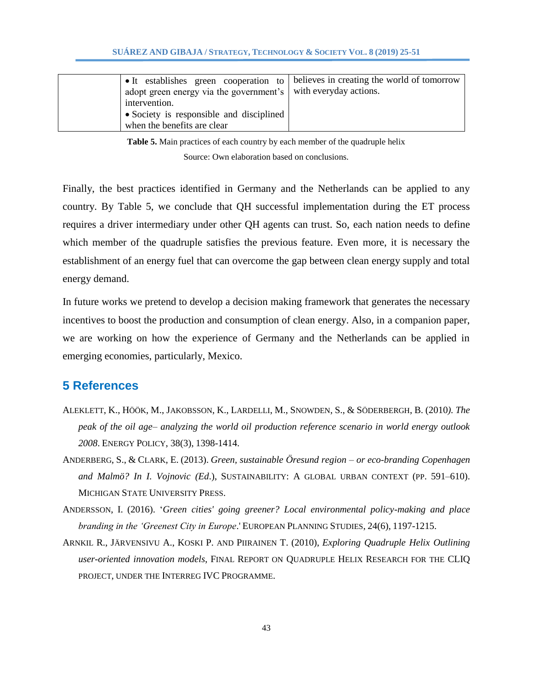| adopt green energy via the government's with everyday actions.<br>intervention.<br>• Society is responsible and disciplined<br>when the benefits are clear | I • It establishes green cooperation to believes in creating the world of tomorrow |
|------------------------------------------------------------------------------------------------------------------------------------------------------------|------------------------------------------------------------------------------------|
|------------------------------------------------------------------------------------------------------------------------------------------------------------|------------------------------------------------------------------------------------|

**Table 5.** Main practices of each country by each member of the quadruple helix

Source: Own elaboration based on conclusions.

Finally, the best practices identified in Germany and the Netherlands can be applied to any country. By Table 5, we conclude that QH successful implementation during the ET process requires a driver intermediary under other QH agents can trust. So, each nation needs to define which member of the quadruple satisfies the previous feature. Even more, it is necessary the establishment of an energy fuel that can overcome the gap between clean energy supply and total energy demand.

In future works we pretend to develop a decision making framework that generates the necessary incentives to boost the production and consumption of clean energy. Also, in a companion paper, we are working on how the experience of Germany and the Netherlands can be applied in emerging economies, particularly, Mexico.

# **5 References**

- ALEKLETT, K., HÖÖK, M., JAKOBSSON, K., LARDELLI, M., SNOWDEN, S., & SÖDERBERGH, B. (2010*). The peak of the oil age– analyzing the world oil production reference scenario in world energy outlook 2008*. ENERGY POLICY, 38(3), 1398-1414.
- ANDERBERG, S., & CLARK, E. (2013). *Green, sustainable Öresund region – or eco-branding Copenhagen and Malmö? In I. Vojnovic (Ed*.), SUSTAINABILITY: A GLOBAL URBAN CONTEXT (PP. 591–610). MICHIGAN STATE UNIVERSITY PRESS.
- ANDERSSON, I. (2016). '*Green cities' going greener? Local environmental policy-making and place branding in the 'Greenest City in Europe*.' EUROPEAN PLANNING STUDIES, 24(6), 1197-1215.
- ARNKIL R., JÄRVENSIVU A., KOSKI P. AND PIIRAINEN T. (2010), *Exploring Quadruple Helix Outlining user-oriented innovation models*, FINAL REPORT ON QUADRUPLE HELIX RESEARCH FOR THE CLIQ PROJECT, UNDER THE INTERREG IVC PROGRAMME.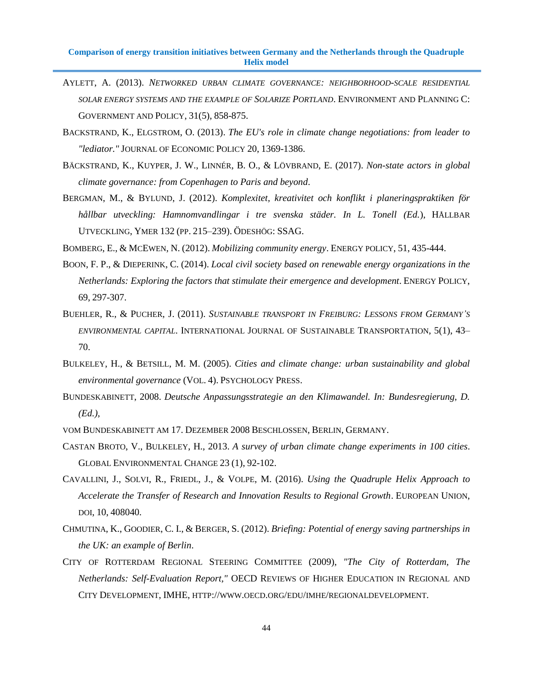- AYLETT, A. (2013). *NETWORKED URBAN CLIMATE GOVERNANCE: NEIGHBORHOOD-SCALE RESIDENTIAL SOLAR ENERGY SYSTEMS AND THE EXAMPLE OF SOLARIZE PORTLAND*. ENVIRONMENT AND PLANNING C: GOVERNMENT AND POLICY, 31(5), 858-875.
- BACKSTRAND, K., ELGSTROM, O. (2013). *The EU's role in climate change negotiations: from leader to "lediator."* JOURNAL OF ECONOMIC POLICY 20, 1369-1386.
- BÄCKSTRAND, K., KUYPER, J. W., LINNÉR, B. O., & LÖVBRAND, E. (2017). *Non-state actors in global climate governance: from Copenhagen to Paris and beyond*.
- BERGMAN, M., & BYLUND, J. (2012). *Komplexitet, kreativitet och konflikt i planeringspraktiken för hållbar utveckling: Hamnomvandlingar i tre svenska städer. In L. Tonell (Ed.*), HÅLLBAR UTVECKLING, YMER 132 (PP. 215–239). ÖDESHÖG: SSAG.

BOMBERG, E., & MCEWEN, N. (2012). *Mobilizing community energy*. ENERGY POLICY, 51, 435-444.

- BOON, F. P., & DIEPERINK, C. (2014). *Local civil society based on renewable energy organizations in the Netherlands: Exploring the factors that stimulate their emergence and development*. ENERGY POLICY, 69, 297-307.
- BUEHLER, R., & PUCHER, J. (2011). *SUSTAINABLE TRANSPORT IN FREIBURG: LESSONS FROM GERMANY'S ENVIRONMENTAL CAPITAL*. INTERNATIONAL JOURNAL OF SUSTAINABLE TRANSPORTATION, 5(1), 43– 70.
- BULKELEY, H., & BETSILL, M. M. (2005). *Cities and climate change: urban sustainability and global environmental governance* (VOL. 4). PSYCHOLOGY PRESS.
- BUNDESKABINETT, 2008. *Deutsche Anpassungsstrategie an den Klimawandel. In: Bundesregierung, D. (Ed.),*
- VOM BUNDESKABINETT AM 17. DEZEMBER 2008 BESCHLOSSEN, BERLIN, GERMANY.
- CASTAN BROTO, V., BULKELEY, H., 2013. *A survey of urban climate change experiments in 100 cities*. GLOBAL ENVIRONMENTAL CHANGE 23 (1), 92-102.
- CAVALLINI, J., SOLVI, R., FRIEDL, J., & VOLPE, M. (2016). *Using the Quadruple Helix Approach to Accelerate the Transfer of Research and Innovation Results to Regional Growth*. EUROPEAN UNION, DOI, 10, 408040.
- CHMUTINA, K., GOODIER, C. I., & BERGER, S. (2012). *Briefing: Potential of energy saving partnerships in the UK: an example of Berlin*.
- CITY OF ROTTERDAM REGIONAL STEERING COMMITTEE (2009), *"The City of Rotterdam, The Netherlands: Self-Evaluation Report,"* OECD REVIEWS OF HIGHER EDUCATION IN REGIONAL AND CITY DEVELOPMENT, IMHE, HTTP://WWW.OECD.ORG/EDU/IMHE/REGIONALDEVELOPMENT.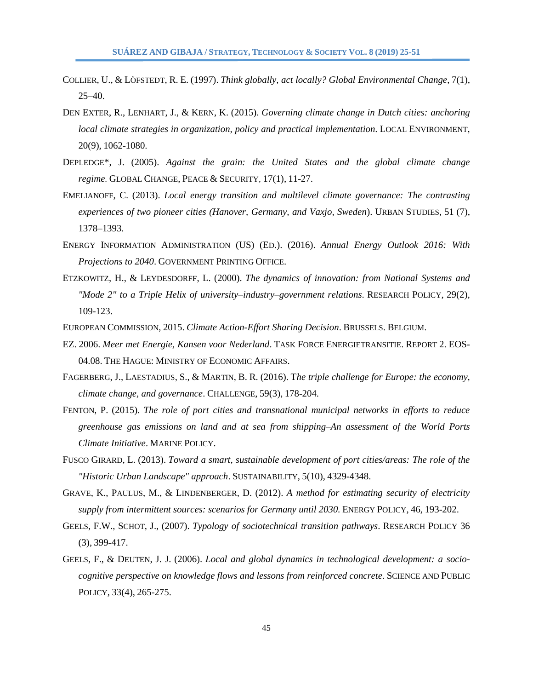- COLLIER, U., & LÖFSTEDT, R. E. (1997). *Think globally, act locally? Global Environmental Change*, 7(1), 25–40.
- DEN EXTER, R., LENHART, J., & KERN, K. (2015). *Governing climate change in Dutch cities: anchoring local climate strategies in organization, policy and practical implementation*. LOCAL ENVIRONMENT, 20(9), 1062-1080.
- DEPLEDGE\*, J. (2005). *Against the grain: the United States and the global climate change regime*. GLOBAL CHANGE, PEACE & SECURITY, 17(1), 11-27.
- EMELIANOFF, C. (2013). *Local energy transition and multilevel climate governance: The contrasting experiences of two pioneer cities (Hanover, Germany, and Vaxjo, Sweden*). URBAN STUDIES, 51 (7), 1378–1393.
- ENERGY INFORMATION ADMINISTRATION (US) (ED.). (2016). *Annual Energy Outlook 2016: With Projections to 2040*. GOVERNMENT PRINTING OFFICE.
- ETZKOWITZ, H., & LEYDESDORFF, L. (2000). *The dynamics of innovation: from National Systems and "Mode 2" to a Triple Helix of university–industry–government relations*. RESEARCH POLICY, 29(2), 109-123.
- EUROPEAN COMMISSION, 2015. *Climate Action-Effort Sharing Decision*. BRUSSELS. BELGIUM.
- EZ. 2006. *Meer met Energie, Kansen voor Nederland*. TASK FORCE ENERGIETRANSITIE. REPORT 2. EOS-04.08. THE HAGUE: MINISTRY OF ECONOMIC AFFAIRS.
- FAGERBERG, J., LAESTADIUS, S., & MARTIN, B. R. (2016). T*he triple challenge for Europe: the economy, climate change, and governance*. CHALLENGE, 59(3), 178-204.
- FENTON, P. (2015). *The role of port cities and transnational municipal networks in efforts to reduce greenhouse gas emissions on land and at sea from shipping–An assessment of the World Ports Climate Initiative*. MARINE POLICY.
- FUSCO GIRARD, L. (2013). *Toward a smart, sustainable development of port cities/areas: The role of the "Historic Urban Landscape" approach*. SUSTAINABILITY, 5(10), 4329-4348.
- GRAVE, K., PAULUS, M., & LINDENBERGER, D. (2012). *A method for estimating security of electricity supply from intermittent sources: scenarios for Germany until 2030.* ENERGY POLICY, 46, 193-202.
- GEELS, F.W., SCHOT, J., (2007). *Typology of sociotechnical transition pathways*. RESEARCH POLICY 36 (3), 399-417.
- GEELS, F., & DEUTEN, J. J. (2006). *Local and global dynamics in technological development: a sociocognitive perspective on knowledge flows and lessons from reinforced concrete*. SCIENCE AND PUBLIC POLICY, 33(4), 265-275.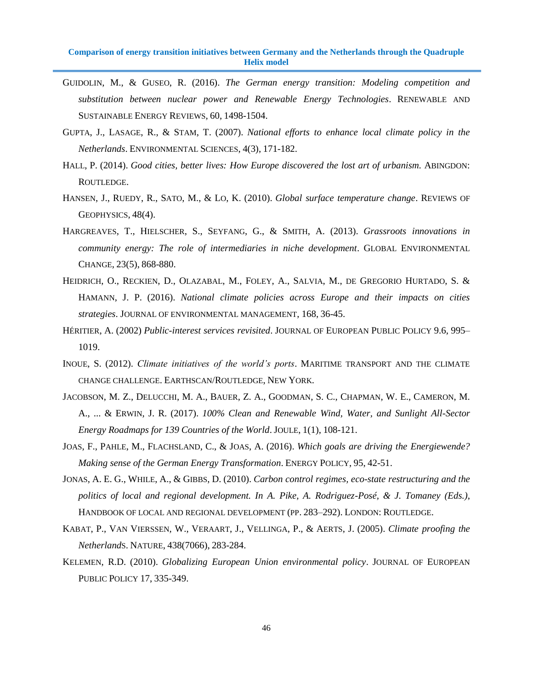- GUIDOLIN, M., & GUSEO, R. (2016). *The German energy transition: Modeling competition and substitution between nuclear power and Renewable Energy Technologies*. RENEWABLE AND SUSTAINABLE ENERGY REVIEWS, 60, 1498-1504.
- GUPTA, J., LASAGE, R., & STAM, T. (2007). *National efforts to enhance local climate policy in the Netherlands*. ENVIRONMENTAL SCIENCES, 4(3), 171-182.
- HALL, P. (2014). *Good cities, better lives: How Europe discovered the lost art of urbanism.* ABINGDON: ROUTLEDGE.
- HANSEN, J., RUEDY, R., SATO, M., & LO, K. (2010). *Global surface temperature change*. REVIEWS OF GEOPHYSICS, 48(4).
- HARGREAVES, T., HIELSCHER, S., SEYFANG, G., & SMITH, A. (2013). *Grassroots innovations in community energy: The role of intermediaries in niche development*. GLOBAL ENVIRONMENTAL CHANGE, 23(5), 868-880.
- HEIDRICH, O., RECKIEN, D., OLAZABAL, M., FOLEY, A., SALVIA, M., DE GREGORIO HURTADO, S. & HAMANN, J. P. (2016). *National climate policies across Europe and their impacts on cities strategies*. JOURNAL OF ENVIRONMENTAL MANAGEMENT, 168, 36-45.
- HÉRITIER, A. (2002) *Public-interest services revisited*. JOURNAL OF EUROPEAN PUBLIC POLICY 9.6, 995– 1019.
- INOUE, S. (2012). *Climate initiatives of the world's ports*. MARITIME TRANSPORT AND THE CLIMATE CHANGE CHALLENGE. EARTHSCAN/ROUTLEDGE, NEW YORK.
- JACOBSON, M. Z., DELUCCHI, M. A., BAUER, Z. A., GOODMAN, S. C., CHAPMAN, W. E., CAMERON, M. A., ... & ERWIN, J. R. (2017). *100% Clean and Renewable Wind, Water, and Sunlight All-Sector Energy Roadmaps for 139 Countries of the World*. JOULE, 1(1), 108-121.
- JOAS, F., PAHLE, M., FLACHSLAND, C., & JOAS, A. (2016). *Which goals are driving the Energiewende? Making sense of the German Energy Transformation*. ENERGY POLICY, 95, 42-51.
- JONAS, A. E. G., WHILE, A., & GIBBS, D. (2010). *Carbon control regimes, eco-state restructuring and the politics of local and regional development. In A. Pike, A. Rodriguez-Posé, & J. Tomaney (Eds.)*, HANDBOOK OF LOCAL AND REGIONAL DEVELOPMENT (PP. 283–292). LONDON: ROUTLEDGE.
- KABAT, P., VAN VIERSSEN, W., VERAART, J., VELLINGA, P., & AERTS, J. (2005). *Climate proofing the Netherland*S. NATURE, 438(7066), 283-284.
- KELEMEN, R.D. (2010). *Globalizing European Union environmental policy*. JOURNAL OF EUROPEAN PUBLIC POLICY 17, 335-349.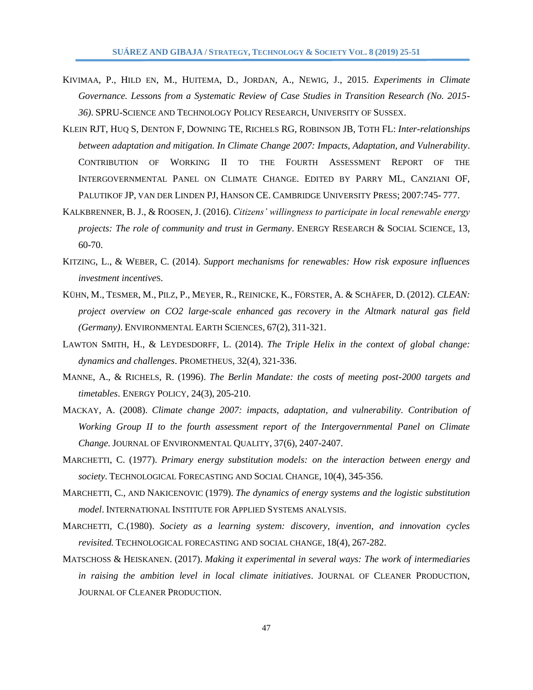- KIVIMAA, P., HILD EN, M., HUITEMA, D., JORDAN, A., NEWIG, J., 2015. *Experiments in Climate Governance. Lessons from a Systematic Review of Case Studies in Transition Research (No. 2015- 36)*. SPRU-SCIENCE AND TECHNOLOGY POLICY RESEARCH, UNIVERSITY OF SUSSEX.
- KLEIN RJT, HUQ S, DENTON F, DOWNING TE, RICHELS RG, ROBINSON JB, TOTH FL: *Inter-relationships between adaptation and mitigation. In Climate Change 2007: Impacts, Adaptation, and Vulnerability*. CONTRIBUTION OF WORKING II TO THE FOURTH ASSESSMENT REPORT OF THE INTERGOVERNMENTAL PANEL ON CLIMATE CHANGE. EDITED BY PARRY ML, CANZIANI OF, PALUTIKOF JP, VAN DER LINDEN PJ, HANSON CE. CAMBRIDGE UNIVERSITY PRESS; 2007:745- 777.
- KALKBRENNER, B. J., & ROOSEN, J. (2016). *Citizens' willingness to participate in local renewable energy projects: The role of community and trust in Germany*. ENERGY RESEARCH & SOCIAL SCIENCE, 13, 60-70.
- KITZING, L., & WEBER, C. (2014). *Support mechanisms for renewables: How risk exposure influences investment incentive*S.
- KÜHN, M., TESMER, M., PILZ, P., MEYER, R., REINICKE, K., FÖRSTER, A. & SCHÄFER, D. (2012). *CLEAN: project overview on CO2 large-scale enhanced gas recovery in the Altmark natural gas field (Germany)*. ENVIRONMENTAL EARTH SCIENCES, 67(2), 311-321.
- LAWTON SMITH, H., & LEYDESDORFF, L. (2014). *The Triple Helix in the context of global change: dynamics and challenges*. PROMETHEUS, 32(4), 321-336.
- MANNE, A., & RICHELS, R. (1996). *The Berlin Mandate: the costs of meeting post-2000 targets and timetables*. ENERGY POLICY, 24(3), 205-210.
- MACKAY, A. (2008). *Climate change 2007: impacts, adaptation, and vulnerability. Contribution of Working Group II to the fourth assessment report of the Intergovernmental Panel on Climate Change.* JOURNAL OF ENVIRONMENTAL QUALITY, 37(6), 2407-2407.
- MARCHETTI, C. (1977). *Primary energy substitution models: on the interaction between energy and society*. TECHNOLOGICAL FORECASTING AND SOCIAL CHANGE, 10(4), 345-356.
- MARCHETTI, C., AND NAKICENOVIC (1979). *The dynamics of energy systems and the logistic substitution model*. INTERNATIONAL INSTITUTE FOR APPLIED SYSTEMS ANALYSIS.
- MARCHETTI, C.(1980). *Society as a learning system: discovery, invention, and innovation cycles revisited.* TECHNOLOGICAL FORECASTING AND SOCIAL CHANGE, 18(4), 267-282.
- MATSCHOSS & HEISKANEN. (2017). *Making it experimental in several ways: The work of intermediaries in raising the ambition level in local climate initiatives*. JOURNAL OF CLEANER PRODUCTION, JOURNAL OF CLEANER PRODUCTION.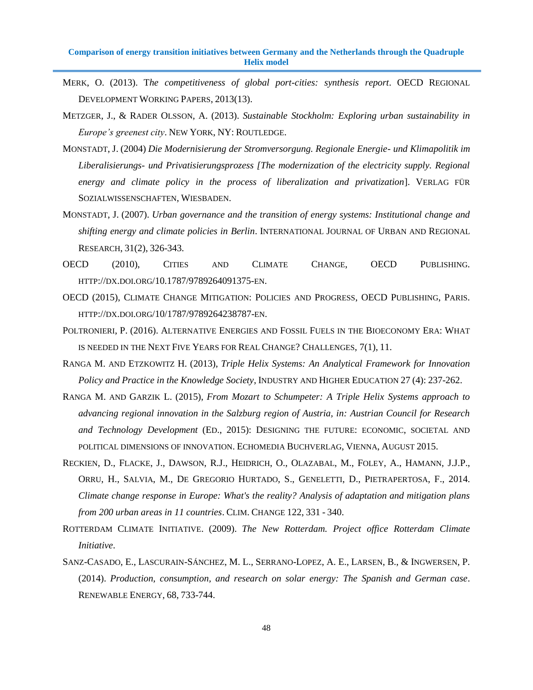- MERK, O. (2013). T*he competitiveness of global port-cities: synthesis report*. OECD REGIONAL DEVELOPMENT WORKING PAPERS, 2013(13).
- METZGER, J., & RADER OLSSON, A. (2013). *Sustainable Stockholm: Exploring urban sustainability in Europe's greenest city*. NEW YORK, NY: ROUTLEDGE.
- MONSTADT, J. (2004) *Die Modernisierung der Stromversorgung. Regionale Energie- und Klimapolitik im Liberalisierungs- und Privatisierungsprozess [The modernization of the electricity supply. Regional energy and climate policy in the process of liberalization and privatization*]. VERLAG FÜR SOZIALWISSENSCHAFTEN, WIESBADEN.
- MONSTADT, J. (2007). *Urban governance and the transition of energy systems: Institutional change and shifting energy and climate policies in Berlin*. INTERNATIONAL JOURNAL OF URBAN AND REGIONAL RESEARCH, 31(2), 326-343.
- OECD (2010), CITIES AND CLIMATE CHANGE, OECD PUBLISHING. HTTP://DX.DOI.ORG/10.1787/9789264091375-EN.
- OECD (2015), CLIMATE CHANGE MITIGATION: POLICIES AND PROGRESS, OECD PUBLISHING, PARIS. HTTP://DX.DOI.ORG/10/1787/9789264238787-EN.
- POLTRONIERI, P. (2016). ALTERNATIVE ENERGIES AND FOSSIL FUELS IN THE BIOECONOMY ERA: WHAT IS NEEDED IN THE NEXT FIVE YEARS FOR REAL CHANGE? CHALLENGES, 7(1), 11.
- RANGA M. AND ETZKOWITZ H. (2013), *Triple Helix Systems: An Analytical Framework for Innovation Policy and Practice in the Knowledge Society*, INDUSTRY AND HIGHER EDUCATION 27 (4): 237-262.
- RANGA M. AND GARZIK L. (2015), *From Mozart to Schumpeter: A Triple Helix Systems approach to advancing regional innovation in the Salzburg region of Austria, in: Austrian Council for Research and Technology Development* (ED., 2015): DESIGNING THE FUTURE: ECONOMIC, SOCIETAL AND POLITICAL DIMENSIONS OF INNOVATION. ECHOMEDIA BUCHVERLAG, VIENNA, AUGUST 2015.
- RECKIEN, D., FLACKE, J., DAWSON, R.J., HEIDRICH, O., OLAZABAL, M., FOLEY, A., HAMANN, J.J.P., ORRU, H., SALVIA, M., DE GREGORIO HURTADO, S., GENELETTI, D., PIETRAPERTOSA, F., 2014. *Climate change response in Europe: What's the reality? Analysis of adaptation and mitigation plans from 200 urban areas in 11 countries*. CLIM. CHANGE 122, 331 - 340.
- ROTTERDAM CLIMATE INITIATIVE. (2009). *The New Rotterdam. Project office Rotterdam Climate Initiative*.
- SANZ-CASADO, E., LASCURAIN-SÁNCHEZ, M. L., SERRANO-LOPEZ, A. E., LARSEN, B., & INGWERSEN, P. (2014). *Production, consumption, and research on solar energy: The Spanish and German case*. RENEWABLE ENERGY, 68, 733-744.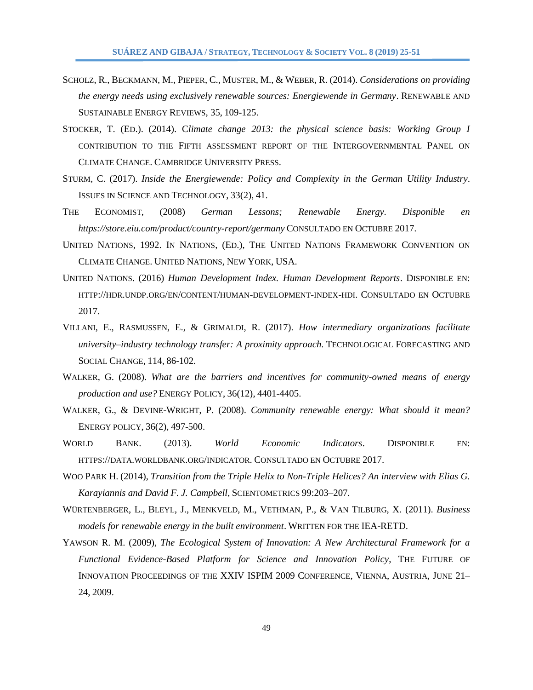- SCHOLZ, R., BECKMANN, M., PIEPER, C., MUSTER, M., & WEBER, R. (2014). *Considerations on providing the energy needs using exclusively renewable sources: Energiewende in Germany*. RENEWABLE AND SUSTAINABLE ENERGY REVIEWS, 35, 109-125.
- STOCKER, T. (ED.). (2014). C*limate change 2013: the physical science basis: Working Group I*  CONTRIBUTION TO THE FIFTH ASSESSMENT REPORT OF THE INTERGOVERNMENTAL PANEL ON CLIMATE CHANGE. CAMBRIDGE UNIVERSITY PRESS.
- STURM, C. (2017). *Inside the Energiewende: Policy and Complexity in the German Utility Industry*. ISSUES IN SCIENCE AND TECHNOLOGY, 33(2), 41.
- THE ECONOMIST, (2008) *German Lessons; Renewable Energy. Disponible en https://store.eiu.com/product/country-report/germany* CONSULTADO EN OCTUBRE 2017.
- UNITED NATIONS, 1992. IN NATIONS, (ED.), THE UNITED NATIONS FRAMEWORK CONVENTION ON CLIMATE CHANGE. UNITED NATIONS, NEW YORK, USA.
- UNITED NATIONS. (2016) *Human Development Index. Human Development Reports*. DISPONIBLE EN: HTTP://HDR.UNDP.ORG/EN/CONTENT/HUMAN-[DEVELOPMENT](http://hdr.undp.org/en/content/human-development-index-hdi)-INDEX-HDI. CONSULTADO EN OCTUBRE 2017.
- VILLANI, E., RASMUSSEN, E., & GRIMALDI, R. (2017). *How intermediary organizations facilitate university–industry technology transfer: A proximity approach*. TECHNOLOGICAL FORECASTING AND SOCIAL CHANGE, 114, 86-102.
- WALKER, G. (2008). *What are the barriers and incentives for community-owned means of energy production and use?* ENERGY POLICY, 36(12), 4401-4405.
- WALKER, G., & DEVINE-WRIGHT, P. (2008). *Community renewable energy: What should it mean?*  ENERGY POLICY, 36(2), 497-500.
- WORLD BANK. (2013). *World Economic Indicators*. DISPONIBLE EN: HTTPS://DATA.[WORLDBANK](https://data.worldbank.org/indicator).ORG/INDICATOR. CONSULTADO EN OCTUBRE 2017.
- WOO PARK H. (2014), *Transition from the Triple Helix to Non-Triple Helices?* An interview with Elias G. *Karayiannis and David F. J. Campbell*, SCIENTOMETRICS 99:203–207.
- WÜRTENBERGER, L., BLEYL, J., MENKVELD, M., VETHMAN, P., & VAN TILBURG, X. (2011). *Business models for renewable energy in the built environment*. WRITTEN FOR THE IEA-RETD.
- YAWSON R. M. (2009), *The Ecological System of Innovation: A New Architectural Framework for a Functional Evidence-Based Platform for Science and Innovation Policy*, THE FUTURE OF INNOVATION PROCEEDINGS OF THE XXIV ISPIM 2009 CONFERENCE, VIENNA, AUSTRIA, JUNE 21– 24, 2009.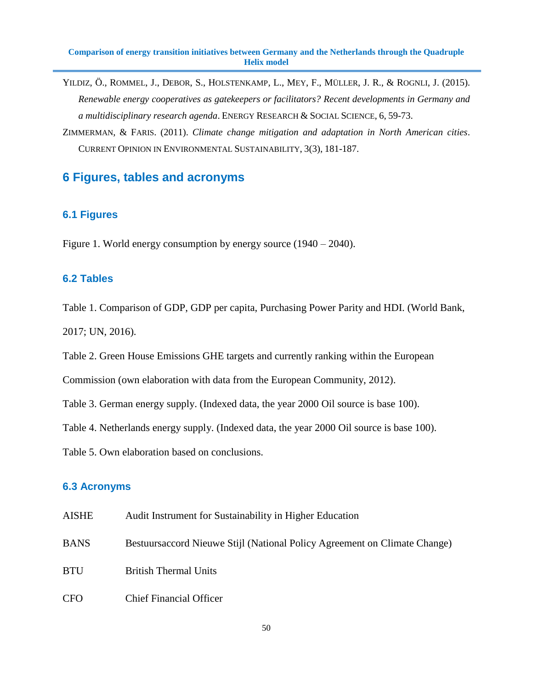- YILDIZ, Ö., ROMMEL, J., DEBOR, S., HOLSTENKAMP, L., MEY, F., MÜLLER, J. R., & ROGNLI, J. (2015). *Renewable energy cooperatives as gatekeepers or facilitators? Recent developments in Germany and a multidisciplinary research agenda*. ENERGY RESEARCH & SOCIAL SCIENCE, 6, 59-73.
- ZIMMERMAN, & FARIS. (2011). *Climate change mitigation and adaptation in North American cities*. CURRENT OPINION IN ENVIRONMENTAL SUSTAINABILITY, 3(3), 181-187.

# **6 Figures, tables and acronyms**

#### **6.1 Figures**

Figure 1. World energy consumption by energy source (1940 – 2040).

#### **6.2 Tables**

Table 1. Comparison of GDP, GDP per capita, Purchasing Power Parity and HDI. (World Bank, 2017; UN, 2016).

Table 2. Green House Emissions GHE targets and currently ranking within the European

Commission (own elaboration with data from the European Community, 2012).

Table 3. German energy supply. (Indexed data, the year 2000 Oil source is base 100).

Table 4. Netherlands energy supply. (Indexed data, the year 2000 Oil source is base 100).

Table 5. Own elaboration based on conclusions.

#### **6.3 Acronyms**

- AISHE Audit Instrument for Sustainability in Higher Education
- BANS Bestuursaccord Nieuwe Stijl (National Policy Agreement on Climate Change)
- BTU British Thermal Units
- CFO Chief Financial Officer